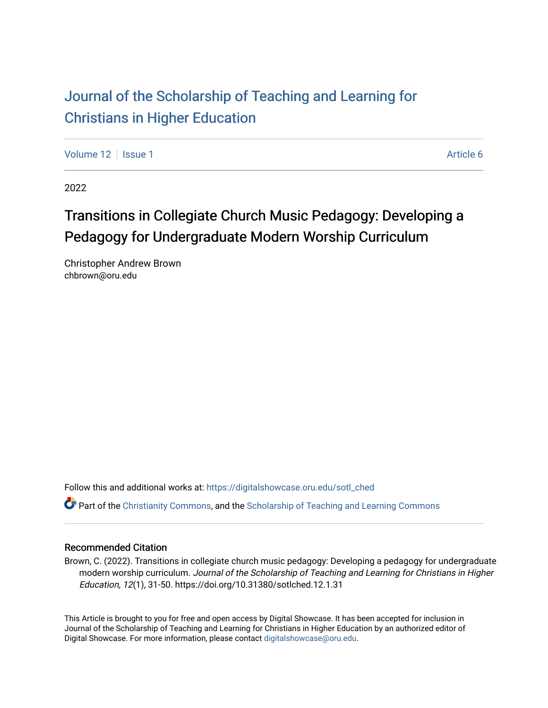# [Journal of the Scholarship of Teaching and Learning for](https://digitalshowcase.oru.edu/sotl_ched)  [Christians in Higher Education](https://digitalshowcase.oru.edu/sotl_ched)

[Volume 12](https://digitalshowcase.oru.edu/sotl_ched/vol12) | [Issue 1](https://digitalshowcase.oru.edu/sotl_ched/vol12/iss1) Article 6

2022

# Transitions in Collegiate Church Music Pedagogy: Developing a Pedagogy for Undergraduate Modern Worship Curriculum

Christopher Andrew Brown chbrown@oru.edu

Follow this and additional works at: [https://digitalshowcase.oru.edu/sotl\\_ched](https://digitalshowcase.oru.edu/sotl_ched?utm_source=digitalshowcase.oru.edu%2Fsotl_ched%2Fvol12%2Fiss1%2F6&utm_medium=PDF&utm_campaign=PDFCoverPages) 

Part of the [Christianity Commons,](https://network.bepress.com/hgg/discipline/1181?utm_source=digitalshowcase.oru.edu%2Fsotl_ched%2Fvol12%2Fiss1%2F6&utm_medium=PDF&utm_campaign=PDFCoverPages) and the [Scholarship of Teaching and Learning Commons](https://network.bepress.com/hgg/discipline/1328?utm_source=digitalshowcase.oru.edu%2Fsotl_ched%2Fvol12%2Fiss1%2F6&utm_medium=PDF&utm_campaign=PDFCoverPages) 

#### Recommended Citation

Brown, C. (2022). Transitions in collegiate church music pedagogy: Developing a pedagogy for undergraduate modern worship curriculum. Journal of the Scholarship of Teaching and Learning for Christians in Higher Education, 12(1), 31-50. https://doi.org/10.31380/sotlched.12.1.31

This Article is brought to you for free and open access by Digital Showcase. It has been accepted for inclusion in Journal of the Scholarship of Teaching and Learning for Christians in Higher Education by an authorized editor of Digital Showcase. For more information, please contact [digitalshowcase@oru.edu.](mailto:digitalshowcase@oru.edu)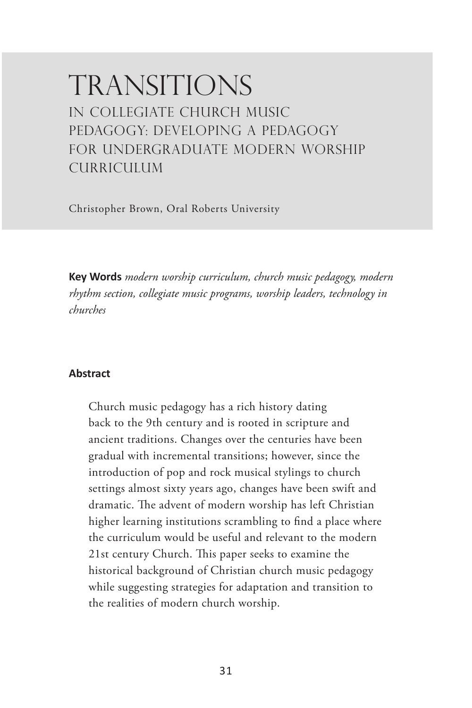# **TRANSITIONS** IN COLLEGIATE CHURCH MUSIC PEDAGOGY: DEVELOPING A PEDAGOGY FOR UNDERGRADUATE MODERN WORSHIP CURRICULUM

Christopher Brown, Oral Roberts University

**Key Words** *modern worship curriculum, church music pedagogy, modern rhythm section, collegiate music programs, worship leaders, technology in churches*

#### **Abstract**

Church music pedagogy has a rich history dating back to the 9th century and is rooted in scripture and ancient traditions. Changes over the centuries have been gradual with incremental transitions; however, since the introduction of pop and rock musical stylings to church settings almost sixty years ago, changes have been swift and dramatic. The advent of modern worship has left Christian higher learning institutions scrambling to find a place where the curriculum would be useful and relevant to the modern 21st century Church. This paper seeks to examine the historical background of Christian church music pedagogy while suggesting strategies for adaptation and transition to the realities of modern church worship.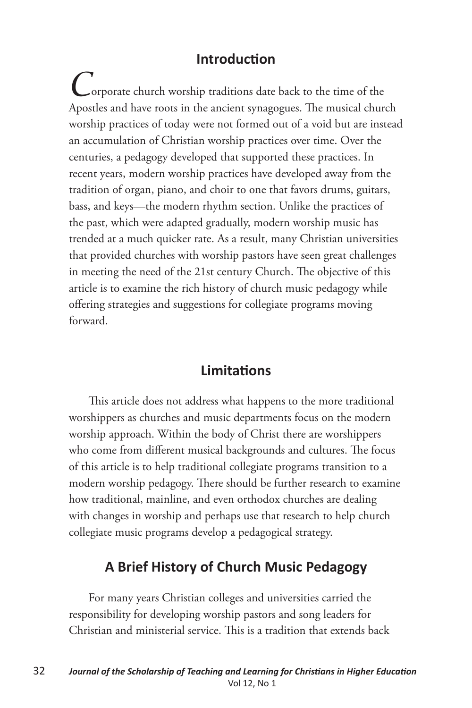#### **Introduction**

*C*orporate church worship traditions date back to the time of the Apostles and have roots in the ancient synagogues. The musical church worship practices of today were not formed out of a void but are instead an accumulation of Christian worship practices over time. Over the centuries, a pedagogy developed that supported these practices. In recent years, modern worship practices have developed away from the tradition of organ, piano, and choir to one that favors drums, guitars, bass, and keys—the modern rhythm section. Unlike the practices of the past, which were adapted gradually, modern worship music has trended at a much quicker rate. As a result, many Christian universities that provided churches with worship pastors have seen great challenges in meeting the need of the 21st century Church. The objective of this article is to examine the rich history of church music pedagogy while offering strategies and suggestions for collegiate programs moving forward.

#### **Limitations**

This article does not address what happens to the more traditional worshippers as churches and music departments focus on the modern worship approach. Within the body of Christ there are worshippers who come from different musical backgrounds and cultures. The focus of this article is to help traditional collegiate programs transition to a modern worship pedagogy. There should be further research to examine how traditional, mainline, and even orthodox churches are dealing with changes in worship and perhaps use that research to help church collegiate music programs develop a pedagogical strategy.

#### **A Brief History of Church Music Pedagogy**

For many years Christian colleges and universities carried the responsibility for developing worship pastors and song leaders for Christian and ministerial service. This is a tradition that extends back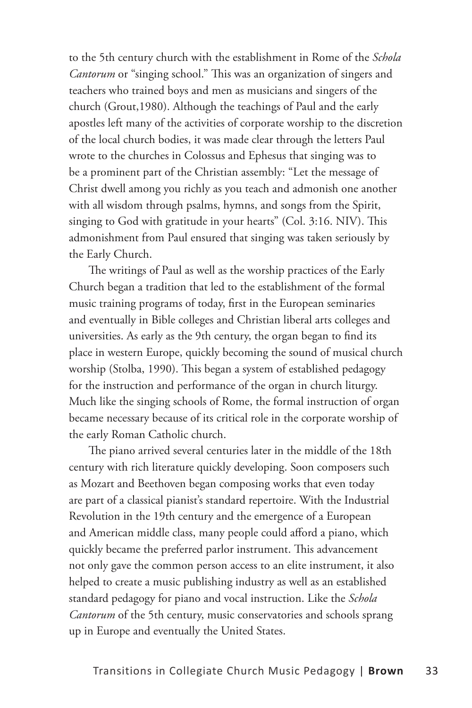to the 5th century church with the establishment in Rome of the *Schola Cantorum* or "singing school." This was an organization of singers and teachers who trained boys and men as musicians and singers of the church (Grout,1980). Although the teachings of Paul and the early apostles left many of the activities of corporate worship to the discretion of the local church bodies, it was made clear through the letters Paul wrote to the churches in Colossus and Ephesus that singing was to be a prominent part of the Christian assembly: "Let the message of Christ dwell among you richly as you teach and admonish one another with all wisdom through psalms, hymns, and songs from the Spirit, singing to God with gratitude in your hearts" (Col. 3:16. NIV). This admonishment from Paul ensured that singing was taken seriously by the Early Church.

The writings of Paul as well as the worship practices of the Early Church began a tradition that led to the establishment of the formal music training programs of today, first in the European seminaries and eventually in Bible colleges and Christian liberal arts colleges and universities. As early as the 9th century, the organ began to find its place in western Europe, quickly becoming the sound of musical church worship (Stolba, 1990). This began a system of established pedagogy for the instruction and performance of the organ in church liturgy. Much like the singing schools of Rome, the formal instruction of organ became necessary because of its critical role in the corporate worship of the early Roman Catholic church.

The piano arrived several centuries later in the middle of the 18th century with rich literature quickly developing. Soon composers such as Mozart and Beethoven began composing works that even today are part of a classical pianist's standard repertoire. With the Industrial Revolution in the 19th century and the emergence of a European and American middle class, many people could afford a piano, which quickly became the preferred parlor instrument. This advancement not only gave the common person access to an elite instrument, it also helped to create a music publishing industry as well as an established standard pedagogy for piano and vocal instruction. Like the *Schola Cantorum* of the 5th century, music conservatories and schools sprang up in Europe and eventually the United States.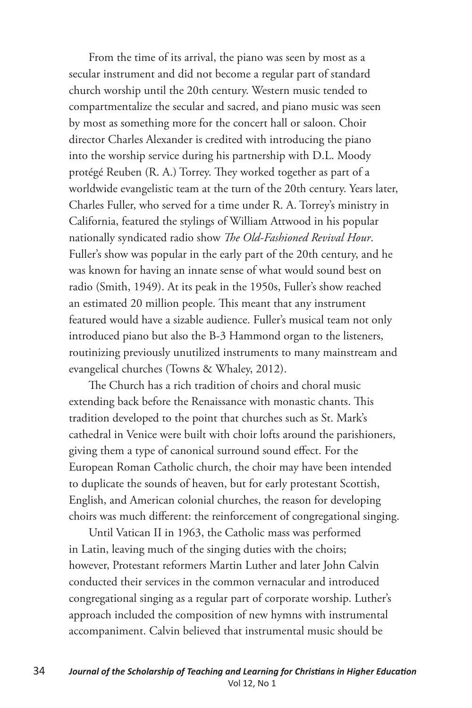From the time of its arrival, the piano was seen by most as a secular instrument and did not become a regular part of standard church worship until the 20th century. Western music tended to compartmentalize the secular and sacred, and piano music was seen by most as something more for the concert hall or saloon. Choir director Charles Alexander is credited with introducing the piano into the worship service during his partnership with D.L. Moody protégé Reuben (R. A.) Torrey. They worked together as part of a worldwide evangelistic team at the turn of the 20th century. Years later, Charles Fuller, who served for a time under R. A. Torrey's ministry in California, featured the stylings of William Attwood in his popular nationally syndicated radio show *The Old-Fashioned Revival Hour*. Fuller's show was popular in the early part of the 20th century, and he was known for having an innate sense of what would sound best on radio (Smith, 1949). At its peak in the 1950s, Fuller's show reached an estimated 20 million people. This meant that any instrument featured would have a sizable audience. Fuller's musical team not only introduced piano but also the B-3 Hammond organ to the listeners, routinizing previously unutilized instruments to many mainstream and evangelical churches (Towns & Whaley, 2012).

The Church has a rich tradition of choirs and choral music extending back before the Renaissance with monastic chants. This tradition developed to the point that churches such as St. Mark's cathedral in Venice were built with choir lofts around the parishioners, giving them a type of canonical surround sound effect. For the European Roman Catholic church, the choir may have been intended to duplicate the sounds of heaven, but for early protestant Scottish, English, and American colonial churches, the reason for developing choirs was much different: the reinforcement of congregational singing.

Until Vatican II in 1963, the Catholic mass was performed in Latin, leaving much of the singing duties with the choirs; however, Protestant reformers Martin Luther and later John Calvin conducted their services in the common vernacular and introduced congregational singing as a regular part of corporate worship. Luther's approach included the composition of new hymns with instrumental accompaniment. Calvin believed that instrumental music should be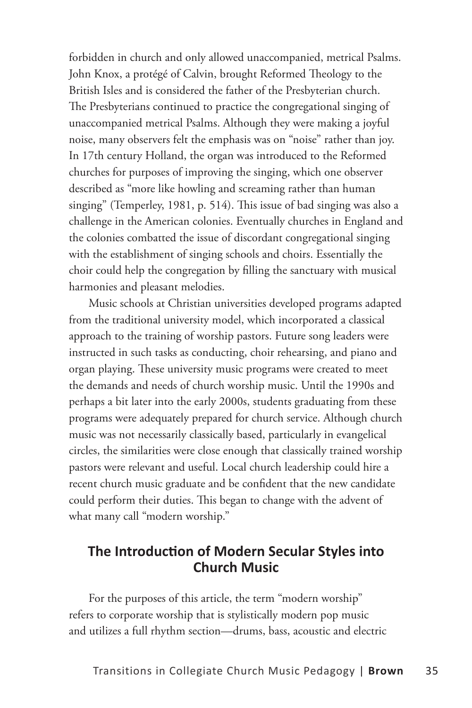forbidden in church and only allowed unaccompanied, metrical Psalms. John Knox, a protégé of Calvin, brought Reformed Theology to the British Isles and is considered the father of the Presbyterian church. The Presbyterians continued to practice the congregational singing of unaccompanied metrical Psalms. Although they were making a joyful noise, many observers felt the emphasis was on "noise" rather than joy. In 17th century Holland, the organ was introduced to the Reformed churches for purposes of improving the singing, which one observer described as "more like howling and screaming rather than human singing" (Temperley, 1981, p. 514). This issue of bad singing was also a challenge in the American colonies. Eventually churches in England and the colonies combatted the issue of discordant congregational singing with the establishment of singing schools and choirs. Essentially the choir could help the congregation by filling the sanctuary with musical harmonies and pleasant melodies.

Music schools at Christian universities developed programs adapted from the traditional university model, which incorporated a classical approach to the training of worship pastors. Future song leaders were instructed in such tasks as conducting, choir rehearsing, and piano and organ playing. These university music programs were created to meet the demands and needs of church worship music. Until the 1990s and perhaps a bit later into the early 2000s, students graduating from these programs were adequately prepared for church service. Although church music was not necessarily classically based, particularly in evangelical circles, the similarities were close enough that classically trained worship pastors were relevant and useful. Local church leadership could hire a recent church music graduate and be confident that the new candidate could perform their duties. This began to change with the advent of what many call "modern worship."

#### **The Introduction of Modern Secular Styles into Church Music**

For the purposes of this article, the term "modern worship" refers to corporate worship that is stylistically modern pop music and utilizes a full rhythm section—drums, bass, acoustic and electric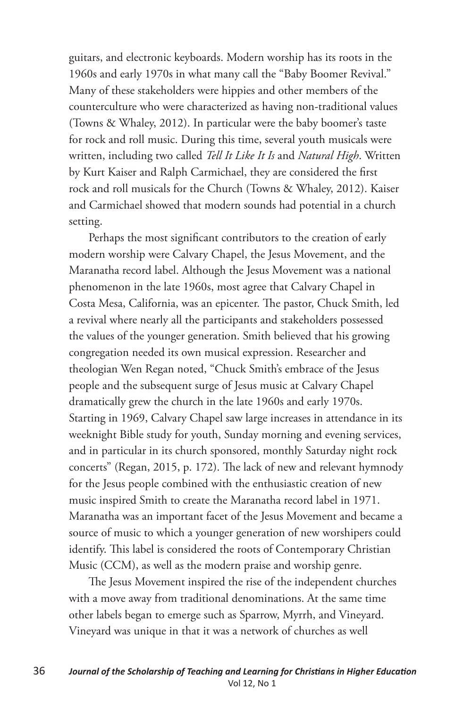guitars, and electronic keyboards. Modern worship has its roots in the 1960s and early 1970s in what many call the "Baby Boomer Revival." Many of these stakeholders were hippies and other members of the counterculture who were characterized as having non-traditional values (Towns & Whaley, 2012). In particular were the baby boomer's taste for rock and roll music. During this time, several youth musicals were written, including two called *Tell It Like It Is* and *Natural High*. Written by Kurt Kaiser and Ralph Carmichael, they are considered the first rock and roll musicals for the Church (Towns & Whaley, 2012). Kaiser and Carmichael showed that modern sounds had potential in a church setting.

Perhaps the most significant contributors to the creation of early modern worship were Calvary Chapel, the Jesus Movement, and the Maranatha record label. Although the Jesus Movement was a national phenomenon in the late 1960s, most agree that Calvary Chapel in Costa Mesa, California, was an epicenter. The pastor, Chuck Smith, led a revival where nearly all the participants and stakeholders possessed the values of the younger generation. Smith believed that his growing congregation needed its own musical expression. Researcher and theologian Wen Regan noted, "Chuck Smith's embrace of the Jesus people and the subsequent surge of Jesus music at Calvary Chapel dramatically grew the church in the late 1960s and early 1970s. Starting in 1969, Calvary Chapel saw large increases in attendance in its weeknight Bible study for youth, Sunday morning and evening services, and in particular in its church sponsored, monthly Saturday night rock concerts" (Regan, 2015, p. 172). The lack of new and relevant hymnody for the Jesus people combined with the enthusiastic creation of new music inspired Smith to create the Maranatha record label in 1971. Maranatha was an important facet of the Jesus Movement and became a source of music to which a younger generation of new worshipers could identify. This label is considered the roots of Contemporary Christian Music (CCM), as well as the modern praise and worship genre.

The Jesus Movement inspired the rise of the independent churches with a move away from traditional denominations. At the same time other labels began to emerge such as Sparrow, Myrrh, and Vineyard. Vineyard was unique in that it was a network of churches as well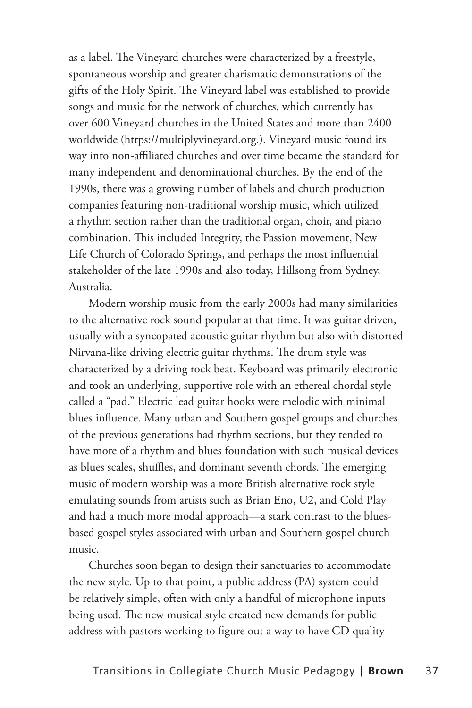as a label. The Vineyard churches were characterized by a freestyle, spontaneous worship and greater charismatic demonstrations of the gifts of the Holy Spirit. The Vineyard label was established to provide songs and music for the network of churches, which currently has over 600 Vineyard churches in the United States and more than 2400 worldwide (https://multiplyvineyard.org.). Vineyard music found its way into non-affiliated churches and over time became the standard for many independent and denominational churches. By the end of the 1990s, there was a growing number of labels and church production companies featuring non-traditional worship music, which utilized a rhythm section rather than the traditional organ, choir, and piano combination. This included Integrity, the Passion movement, New Life Church of Colorado Springs, and perhaps the most influential stakeholder of the late 1990s and also today, Hillsong from Sydney, Australia.

Modern worship music from the early 2000s had many similarities to the alternative rock sound popular at that time. It was guitar driven, usually with a syncopated acoustic guitar rhythm but also with distorted Nirvana-like driving electric guitar rhythms. The drum style was characterized by a driving rock beat. Keyboard was primarily electronic and took an underlying, supportive role with an ethereal chordal style called a "pad." Electric lead guitar hooks were melodic with minimal blues influence. Many urban and Southern gospel groups and churches of the previous generations had rhythm sections, but they tended to have more of a rhythm and blues foundation with such musical devices as blues scales, shuffles, and dominant seventh chords. The emerging music of modern worship was a more British alternative rock style emulating sounds from artists such as Brian Eno, U2, and Cold Play and had a much more modal approach—a stark contrast to the bluesbased gospel styles associated with urban and Southern gospel church music.

Churches soon began to design their sanctuaries to accommodate the new style. Up to that point, a public address (PA) system could be relatively simple, often with only a handful of microphone inputs being used. The new musical style created new demands for public address with pastors working to figure out a way to have CD quality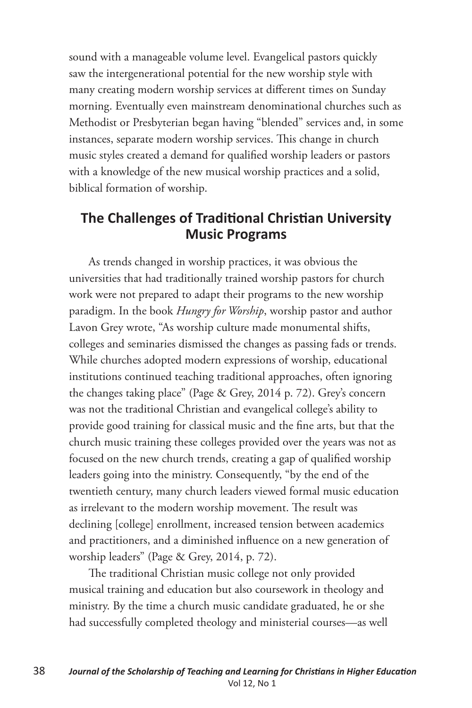sound with a manageable volume level. Evangelical pastors quickly saw the intergenerational potential for the new worship style with many creating modern worship services at different times on Sunday morning. Eventually even mainstream denominational churches such as Methodist or Presbyterian began having "blended" services and, in some instances, separate modern worship services. This change in church music styles created a demand for qualified worship leaders or pastors with a knowledge of the new musical worship practices and a solid, biblical formation of worship.

### **The Challenges of Traditional Christian University Music Programs**

As trends changed in worship practices, it was obvious the universities that had traditionally trained worship pastors for church work were not prepared to adapt their programs to the new worship paradigm. In the book *Hungry for Worship*, worship pastor and author Lavon Grey wrote, "As worship culture made monumental shifts, colleges and seminaries dismissed the changes as passing fads or trends. While churches adopted modern expressions of worship, educational institutions continued teaching traditional approaches, often ignoring the changes taking place" (Page & Grey, 2014 p. 72). Grey's concern was not the traditional Christian and evangelical college's ability to provide good training for classical music and the fine arts, but that the church music training these colleges provided over the years was not as focused on the new church trends, creating a gap of qualified worship leaders going into the ministry. Consequently, "by the end of the twentieth century, many church leaders viewed formal music education as irrelevant to the modern worship movement. The result was declining [college] enrollment, increased tension between academics and practitioners, and a diminished influence on a new generation of worship leaders" (Page & Grey, 2014, p. 72).

The traditional Christian music college not only provided musical training and education but also coursework in theology and ministry. By the time a church music candidate graduated, he or she had successfully completed theology and ministerial courses—as well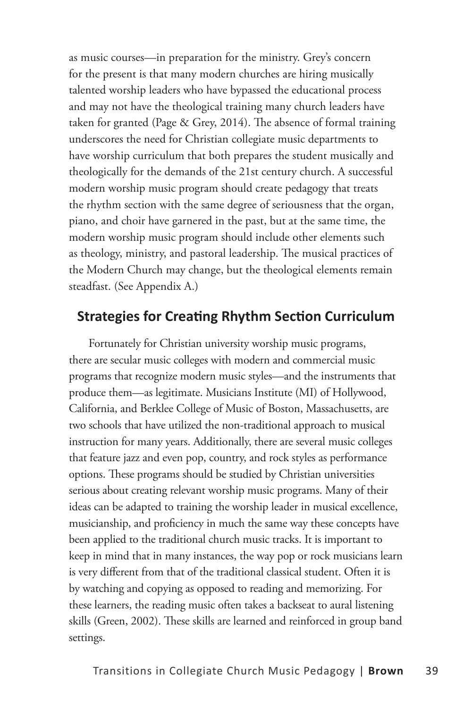as music courses—in preparation for the ministry. Grey's concern for the present is that many modern churches are hiring musically talented worship leaders who have bypassed the educational process and may not have the theological training many church leaders have taken for granted (Page & Grey, 2014). The absence of formal training underscores the need for Christian collegiate music departments to have worship curriculum that both prepares the student musically and theologically for the demands of the 21st century church. A successful modern worship music program should create pedagogy that treats the rhythm section with the same degree of seriousness that the organ, piano, and choir have garnered in the past, but at the same time, the modern worship music program should include other elements such as theology, ministry, and pastoral leadership. The musical practices of the Modern Church may change, but the theological elements remain steadfast. (See Appendix A.)

#### **Strategies for Creating Rhythm Section Curriculum**

Fortunately for Christian university worship music programs, there are secular music colleges with modern and commercial music programs that recognize modern music styles—and the instruments that produce them—as legitimate. Musicians Institute (MI) of Hollywood, California, and Berklee College of Music of Boston, Massachusetts, are two schools that have utilized the non-traditional approach to musical instruction for many years. Additionally, there are several music colleges that feature jazz and even pop, country, and rock styles as performance options. These programs should be studied by Christian universities serious about creating relevant worship music programs. Many of their ideas can be adapted to training the worship leader in musical excellence, musicianship, and proficiency in much the same way these concepts have been applied to the traditional church music tracks. It is important to keep in mind that in many instances, the way pop or rock musicians learn is very different from that of the traditional classical student. Often it is by watching and copying as opposed to reading and memorizing. For these learners, the reading music often takes a backseat to aural listening skills (Green, 2002). These skills are learned and reinforced in group band settings.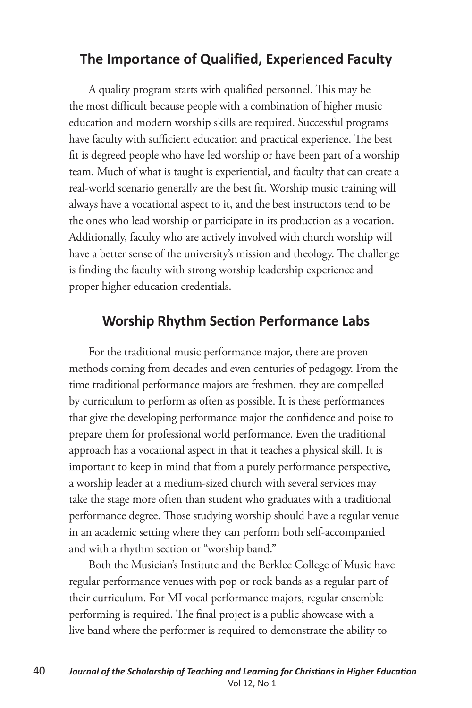## **The Importance of Qualified, Experienced Faculty**

A quality program starts with qualified personnel. This may be the most difficult because people with a combination of higher music education and modern worship skills are required. Successful programs have faculty with sufficient education and practical experience. The best fit is degreed people who have led worship or have been part of a worship team. Much of what is taught is experiential, and faculty that can create a real-world scenario generally are the best fit. Worship music training will always have a vocational aspect to it, and the best instructors tend to be the ones who lead worship or participate in its production as a vocation. Additionally, faculty who are actively involved with church worship will have a better sense of the university's mission and theology. The challenge is finding the faculty with strong worship leadership experience and proper higher education credentials.

## **Worship Rhythm Section Performance Labs**

For the traditional music performance major, there are proven methods coming from decades and even centuries of pedagogy. From the time traditional performance majors are freshmen, they are compelled by curriculum to perform as often as possible. It is these performances that give the developing performance major the confidence and poise to prepare them for professional world performance. Even the traditional approach has a vocational aspect in that it teaches a physical skill. It is important to keep in mind that from a purely performance perspective, a worship leader at a medium-sized church with several services may take the stage more often than student who graduates with a traditional performance degree. Those studying worship should have a regular venue in an academic setting where they can perform both self-accompanied and with a rhythm section or "worship band."

Both the Musician's Institute and the Berklee College of Music have regular performance venues with pop or rock bands as a regular part of their curriculum. For MI vocal performance majors, regular ensemble performing is required. The final project is a public showcase with a live band where the performer is required to demonstrate the ability to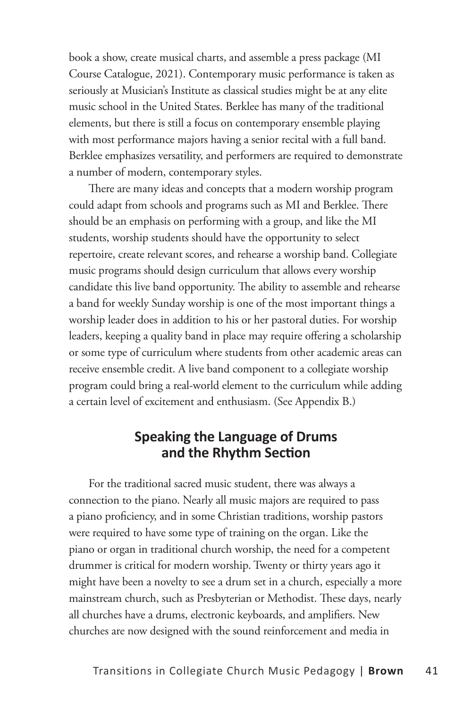book a show, create musical charts, and assemble a press package (MI Course Catalogue, 2021). Contemporary music performance is taken as seriously at Musician's Institute as classical studies might be at any elite music school in the United States. Berklee has many of the traditional elements, but there is still a focus on contemporary ensemble playing with most performance majors having a senior recital with a full band. Berklee emphasizes versatility, and performers are required to demonstrate a number of modern, contemporary styles.

There are many ideas and concepts that a modern worship program could adapt from schools and programs such as MI and Berklee. There should be an emphasis on performing with a group, and like the MI students, worship students should have the opportunity to select repertoire, create relevant scores, and rehearse a worship band. Collegiate music programs should design curriculum that allows every worship candidate this live band opportunity. The ability to assemble and rehearse a band for weekly Sunday worship is one of the most important things a worship leader does in addition to his or her pastoral duties. For worship leaders, keeping a quality band in place may require offering a scholarship or some type of curriculum where students from other academic areas can receive ensemble credit. A live band component to a collegiate worship program could bring a real-world element to the curriculum while adding a certain level of excitement and enthusiasm. (See Appendix B.)

#### **Speaking the Language of Drums and the Rhythm Section**

For the traditional sacred music student, there was always a connection to the piano. Nearly all music majors are required to pass a piano proficiency, and in some Christian traditions, worship pastors were required to have some type of training on the organ. Like the piano or organ in traditional church worship, the need for a competent drummer is critical for modern worship. Twenty or thirty years ago it might have been a novelty to see a drum set in a church, especially a more mainstream church, such as Presbyterian or Methodist. These days, nearly all churches have a drums, electronic keyboards, and amplifiers. New churches are now designed with the sound reinforcement and media in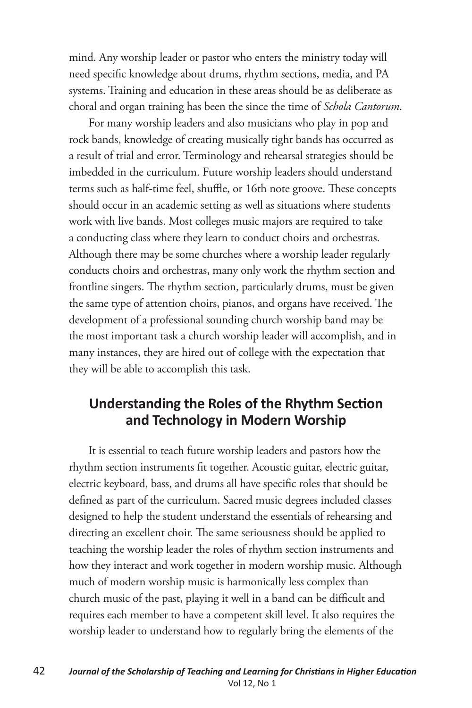mind. Any worship leader or pastor who enters the ministry today will need specific knowledge about drums, rhythm sections, media, and PA systems. Training and education in these areas should be as deliberate as choral and organ training has been the since the time of *Schola Cantorum*.

For many worship leaders and also musicians who play in pop and rock bands, knowledge of creating musically tight bands has occurred as a result of trial and error. Terminology and rehearsal strategies should be imbedded in the curriculum. Future worship leaders should understand terms such as half-time feel, shuffle, or 16th note groove. These concepts should occur in an academic setting as well as situations where students work with live bands. Most colleges music majors are required to take a conducting class where they learn to conduct choirs and orchestras. Although there may be some churches where a worship leader regularly conducts choirs and orchestras, many only work the rhythm section and frontline singers. The rhythm section, particularly drums, must be given the same type of attention choirs, pianos, and organs have received. The development of a professional sounding church worship band may be the most important task a church worship leader will accomplish, and in many instances, they are hired out of college with the expectation that they will be able to accomplish this task.

#### **Understanding the Roles of the Rhythm Section and Technology in Modern Worship**

It is essential to teach future worship leaders and pastors how the rhythm section instruments fit together. Acoustic guitar, electric guitar, electric keyboard, bass, and drums all have specific roles that should be defined as part of the curriculum. Sacred music degrees included classes designed to help the student understand the essentials of rehearsing and directing an excellent choir. The same seriousness should be applied to teaching the worship leader the roles of rhythm section instruments and how they interact and work together in modern worship music. Although much of modern worship music is harmonically less complex than church music of the past, playing it well in a band can be difficult and requires each member to have a competent skill level. It also requires the worship leader to understand how to regularly bring the elements of the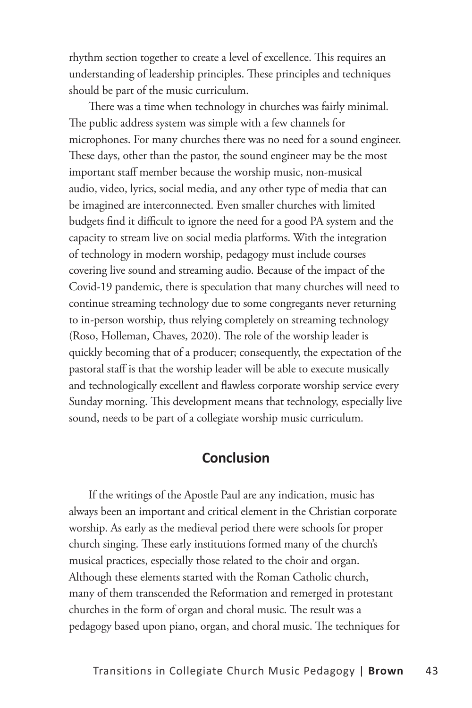rhythm section together to create a level of excellence. This requires an understanding of leadership principles. These principles and techniques should be part of the music curriculum.

There was a time when technology in churches was fairly minimal. The public address system was simple with a few channels for microphones. For many churches there was no need for a sound engineer. These days, other than the pastor, the sound engineer may be the most important staff member because the worship music, non-musical audio, video, lyrics, social media, and any other type of media that can be imagined are interconnected. Even smaller churches with limited budgets find it difficult to ignore the need for a good PA system and the capacity to stream live on social media platforms. With the integration of technology in modern worship, pedagogy must include courses covering live sound and streaming audio. Because of the impact of the Covid-19 pandemic, there is speculation that many churches will need to continue streaming technology due to some congregants never returning to in-person worship, thus relying completely on streaming technology (Roso, Holleman, Chaves, 2020). The role of the worship leader is quickly becoming that of a producer; consequently, the expectation of the pastoral staff is that the worship leader will be able to execute musically and technologically excellent and flawless corporate worship service every Sunday morning. This development means that technology, especially live sound, needs to be part of a collegiate worship music curriculum.

#### **Conclusion**

If the writings of the Apostle Paul are any indication, music has always been an important and critical element in the Christian corporate worship. As early as the medieval period there were schools for proper church singing. These early institutions formed many of the church's musical practices, especially those related to the choir and organ. Although these elements started with the Roman Catholic church, many of them transcended the Reformation and remerged in protestant churches in the form of organ and choral music. The result was a pedagogy based upon piano, organ, and choral music. The techniques for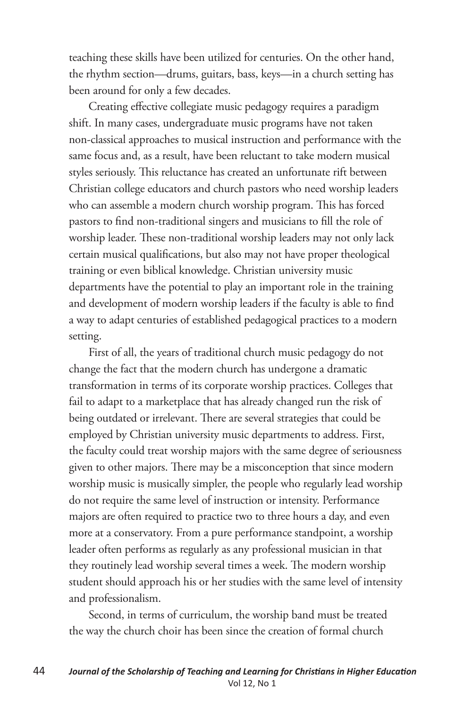teaching these skills have been utilized for centuries. On the other hand, the rhythm section—drums, guitars, bass, keys—in a church setting has been around for only a few decades.

Creating effective collegiate music pedagogy requires a paradigm shift. In many cases, undergraduate music programs have not taken non-classical approaches to musical instruction and performance with the same focus and, as a result, have been reluctant to take modern musical styles seriously. This reluctance has created an unfortunate rift between Christian college educators and church pastors who need worship leaders who can assemble a modern church worship program. This has forced pastors to find non-traditional singers and musicians to fill the role of worship leader. These non-traditional worship leaders may not only lack certain musical qualifications, but also may not have proper theological training or even biblical knowledge. Christian university music departments have the potential to play an important role in the training and development of modern worship leaders if the faculty is able to find a way to adapt centuries of established pedagogical practices to a modern setting.

First of all, the years of traditional church music pedagogy do not change the fact that the modern church has undergone a dramatic transformation in terms of its corporate worship practices. Colleges that fail to adapt to a marketplace that has already changed run the risk of being outdated or irrelevant. There are several strategies that could be employed by Christian university music departments to address. First, the faculty could treat worship majors with the same degree of seriousness given to other majors. There may be a misconception that since modern worship music is musically simpler, the people who regularly lead worship do not require the same level of instruction or intensity. Performance majors are often required to practice two to three hours a day, and even more at a conservatory. From a pure performance standpoint, a worship leader often performs as regularly as any professional musician in that they routinely lead worship several times a week. The modern worship student should approach his or her studies with the same level of intensity and professionalism.

Second, in terms of curriculum, the worship band must be treated the way the church choir has been since the creation of formal church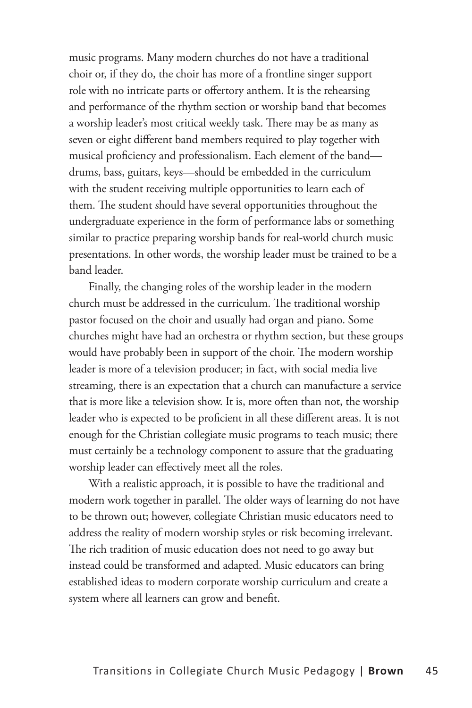music programs. Many modern churches do not have a traditional choir or, if they do, the choir has more of a frontline singer support role with no intricate parts or offertory anthem. It is the rehearsing and performance of the rhythm section or worship band that becomes a worship leader's most critical weekly task. There may be as many as seven or eight different band members required to play together with musical proficiency and professionalism. Each element of the band drums, bass, guitars, keys—should be embedded in the curriculum with the student receiving multiple opportunities to learn each of them. The student should have several opportunities throughout the undergraduate experience in the form of performance labs or something similar to practice preparing worship bands for real-world church music presentations. In other words, the worship leader must be trained to be a band leader.

Finally, the changing roles of the worship leader in the modern church must be addressed in the curriculum. The traditional worship pastor focused on the choir and usually had organ and piano. Some churches might have had an orchestra or rhythm section, but these groups would have probably been in support of the choir. The modern worship leader is more of a television producer; in fact, with social media live streaming, there is an expectation that a church can manufacture a service that is more like a television show. It is, more often than not, the worship leader who is expected to be proficient in all these different areas. It is not enough for the Christian collegiate music programs to teach music; there must certainly be a technology component to assure that the graduating worship leader can effectively meet all the roles.

With a realistic approach, it is possible to have the traditional and modern work together in parallel. The older ways of learning do not have to be thrown out; however, collegiate Christian music educators need to address the reality of modern worship styles or risk becoming irrelevant. The rich tradition of music education does not need to go away but instead could be transformed and adapted. Music educators can bring established ideas to modern corporate worship curriculum and create a system where all learners can grow and benefit.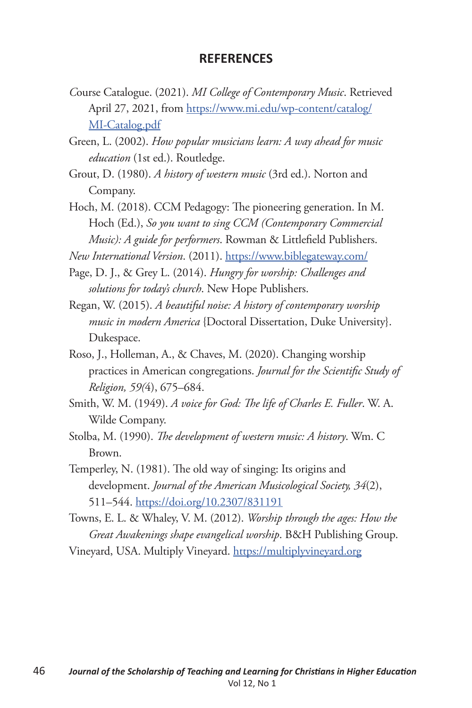#### **REFERENCES**

- *C*ourse Catalogue. (2021). *MI College of Contemporary Music*. Retrieved April 27, 2021, from https://www.mi.edu/wp-content/catalog/ MI-Catalog.pdf
- Green, L. (2002). *How popular musicians learn: A way ahead for music education* (1st ed.). Routledge.
- Grout, D. (1980). *A history of western music* (3rd ed.). Norton and Company.
- Hoch, M. (2018). CCM Pedagogy: The pioneering generation. In M. Hoch (Ed.), *So you want to sing CCM (Contemporary Commercial Music): A guide for performers*. Rowman & Littlefield Publishers.

*New International Version*. (2011). https://www.biblegateway.com/

- Page, D. J., & Grey L. (2014). *Hungry for worship: Challenges and solutions for today's church*. New Hope Publishers.
- Regan, W. (2015). *A beautiful noise: A history of contemporary worship music in modern America* {Doctoral Dissertation, Duke University}. Dukespace.
- Roso, J., Holleman, A., & Chaves, M. (2020). Changing worship practices in American congregations. *Journal for the Scientific Study of Religion, 59(*4), 675–684.
- Smith, W. M. (1949). *A voice for God: The life of Charles E. Fuller*. W. A. Wilde Company.
- Stolba, M. (1990). *The development of western music: A history*. Wm. C Brown.
- Temperley, N. (1981). The old way of singing: Its origins and development. *Journal of the American Musicological Society, 34*(2), 511–544. https://doi.org/10.2307/831191
- Towns, E. L. & Whaley, V. M. (2012). *Worship through the ages: How the Great Awakenings shape evangelical worship*. B&H Publishing Group.

Vineyard, USA. Multiply Vineyard. https://multiplyvineyard.org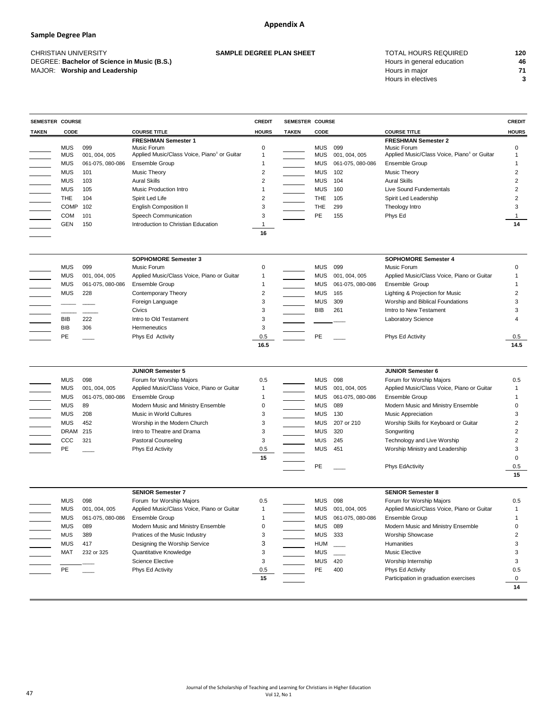## **Sample Degree Plan**

MAJOR: **Worship and Leadership Properties and Allen and Allen and Allen and Allen and Allen and Allen and Allen and Allen and Allen and Allen and Allen and Allen and Allen and Allen and Allen and Allen and Allen and Alle** 

# CHRISTIAN UNIVERSITY TOTAL HOURS REQUIRED **120 SAMPLE DEGREE PLAN SHEET**  DEGREE: Bachelor of Science in Music (B.S.) **And According the Contract of Science in Music (B.S.)** 46 Hours in electives **3**

| <b>SEMESTER COURSE</b>                                                                                                                                                                                                                                                                                          |             |                  |                                                         | <b>CREDIT</b> | <b>SEMESTER COURSE</b> |                          |                  |                                                         | <b>CREDIT</b> |
|-----------------------------------------------------------------------------------------------------------------------------------------------------------------------------------------------------------------------------------------------------------------------------------------------------------------|-------------|------------------|---------------------------------------------------------|---------------|------------------------|--------------------------|------------------|---------------------------------------------------------|---------------|
| <b>TAKEN</b>                                                                                                                                                                                                                                                                                                    | <b>CODE</b> |                  | <b>COURSE TITLE</b>                                     | <b>HOURS</b>  | <b>TAKEN</b>           | <b>CODE</b>              |                  | <b>COURSE TITLE</b>                                     | <b>HOURS</b>  |
|                                                                                                                                                                                                                                                                                                                 |             |                  | <b>FRESHMAN Semester 1</b>                              |               |                        |                          |                  | <b>FRESHMAN Semester 2</b>                              |               |
|                                                                                                                                                                                                                                                                                                                 | <b>MUS</b>  | 099              | Music Forum                                             | 0             |                        | <b>MUS</b>               | 099              | Music Forum                                             | 0             |
|                                                                                                                                                                                                                                                                                                                 | <b>MUS</b>  | 001, 004, 005    | Applied Music/Class Voice, Piano <sup>1</sup> or Guitar |               |                        | <b>MUS</b>               | 001, 004, 005    | Applied Music/Class Voice, Piano <sup>1</sup> or Guitar |               |
|                                                                                                                                                                                                                                                                                                                 | <b>MUS</b>  | 061-075, 080-086 | Ensemble Group                                          |               |                        | <b>MUS</b>               | 061-075, 080-086 | <b>Ensemble Group</b>                                   |               |
|                                                                                                                                                                                                                                                                                                                 | <b>MUS</b>  | 101              | Music Theory                                            | 2             |                        | <b>MUS</b>               | 102              | <b>Music Theory</b>                                     | 2             |
|                                                                                                                                                                                                                                                                                                                 | <b>MUS</b>  | 103              | <b>Aural Skills</b>                                     | 2             |                        | <b>MUS</b>               | 104              | <b>Aural Skills</b>                                     | 2             |
|                                                                                                                                                                                                                                                                                                                 | <b>MUS</b>  | 105              | Music Production Intro                                  |               |                        | <b>MUS</b>               | 160              | Live Sound Fundementals                                 | 2             |
|                                                                                                                                                                                                                                                                                                                 | <b>THE</b>  | 104              | Spirit Led Life                                         | 2             |                        | <b>THE</b>               | 105              | Spirit Led Leadership                                   | 2             |
|                                                                                                                                                                                                                                                                                                                 | <b>COMP</b> | 102              | <b>English Composition II</b>                           | 3             |                        | <b>THE</b>               | 299              | Theology Intro                                          |               |
| $\begin{array}{ c c c c c } \hline \quad \quad & \quad \quad & \quad \quad & \quad \quad \\ \hline \quad \quad & \quad \quad & \quad \quad & \quad \quad \\ \hline \quad \quad & \quad \quad & \quad \quad & \quad \quad \\ \hline \quad \quad & \quad \quad & \quad \quad & \quad \quad \\ \hline \end{array}$ | <b>COM</b>  | 101              | <b>Speech Communication</b>                             |               |                        | PE                       | 155              | Phys Ed                                                 |               |
|                                                                                                                                                                                                                                                                                                                 | <b>GEN</b>  | 150              | Introduction to Christian Education                     |               |                        |                          |                  |                                                         | 14            |
|                                                                                                                                                                                                                                                                                                                 |             |                  |                                                         | 16            |                        |                          |                  |                                                         |               |
|                                                                                                                                                                                                                                                                                                                 |             |                  | <b>SOPHOMORE Semester 3</b>                             |               |                        |                          |                  | <b>SOPHOMORE Semester 4</b>                             |               |
|                                                                                                                                                                                                                                                                                                                 | <b>MUS</b>  | 099              | Music Forum                                             | 0             |                        | <b>MUS</b>               | 099              | Music Forum                                             | 0             |
|                                                                                                                                                                                                                                                                                                                 | <b>MUS</b>  | 001, 004, 005    | Applied Music/Class Voice, Piano or Guitar              |               |                        | <b>MUS</b>               | 001, 004, 005    | Applied Music/Class Voice, Piano or Guitar              |               |
|                                                                                                                                                                                                                                                                                                                 | <b>MUS</b>  | 061-075, 080-086 | Ensemble Group                                          |               |                        | <b>MUS</b>               | 061-075, 080-086 | Ensemble Group                                          |               |
| $\frac{1}{\sqrt{2\pi}}$                                                                                                                                                                                                                                                                                         | <b>MUS</b>  | 228              | <b>Contemporary Theory</b>                              | 2             |                        | <b>MUS</b>               | 165              | Lighting & Projection for Music                         |               |
|                                                                                                                                                                                                                                                                                                                 |             |                  | Foreign Language                                        | 3             |                        | <b>MUS</b>               | 309              | Worship and Biblical Foundations                        | 3             |
|                                                                                                                                                                                                                                                                                                                 |             |                  | Civics                                                  | 3             |                        | <b>BIB</b>               | 261              | Imtro to New Testament                                  | 3             |
|                                                                                                                                                                                                                                                                                                                 | <b>BIB</b>  | 222              | Intro to Old Testament                                  | 3             |                        |                          |                  | Laboratory Science                                      |               |
|                                                                                                                                                                                                                                                                                                                 | <b>BIB</b>  | 306              | Hermeneutics                                            | 3             |                        |                          |                  |                                                         |               |
|                                                                                                                                                                                                                                                                                                                 | PE          |                  | Phys Ed Activity                                        | 0.5           |                        | PE                       |                  | Phys Ed Activity                                        | 0.5           |
|                                                                                                                                                                                                                                                                                                                 |             |                  |                                                         | 16.5          |                        |                          |                  |                                                         | 14.5          |
|                                                                                                                                                                                                                                                                                                                 |             |                  | <b>JUNIOR Semester 5</b>                                |               |                        |                          |                  | <b>JUNIOR Semester 6</b>                                |               |
|                                                                                                                                                                                                                                                                                                                 | <b>MUS</b>  | 098              | Forum for Worship Majors                                | 0.5           |                        | <b>MUS</b>               | 098              | Forum for Worship Majors                                | 0.5           |
|                                                                                                                                                                                                                                                                                                                 | <b>MUS</b>  | 001, 004, 005    | Applied Music/Class Voice, Piano or Guitar              |               |                        | <b>MUS</b>               | 001, 004, 005    | Applied Music/Class Voice, Piano or Guitar              |               |
|                                                                                                                                                                                                                                                                                                                 | <b>MUS</b>  | 061-075, 080-086 | Ensemble Group                                          |               |                        | <b>MUS</b>               | 061-075, 080-086 | Ensemble Group                                          |               |
|                                                                                                                                                                                                                                                                                                                 | <b>MUS</b>  | 89               | Modern Music and Ministry Ensemble                      | 0             |                        | <b>MUS</b>               | 089              | Modern Music and Ministry Ensemble                      |               |
|                                                                                                                                                                                                                                                                                                                 | <b>MUS</b>  | 208              | Music in World Cultures                                 | 3             |                        | <b>MUS</b>               | 130              | Music Appreciation                                      | 3             |
|                                                                                                                                                                                                                                                                                                                 | <b>MUS</b>  | 452              | Worship in the Modern Church                            | 3             |                        | <b>MUS</b>               | 207 or 210       | Worship Skills for Keyboard or Guitar                   | 2             |
|                                                                                                                                                                                                                                                                                                                 | <b>DRAM</b> | 215              | Intro to Theatre and Drama                              | 3             |                        | <b>MUS</b>               | 320              | Songwriting                                             | 2             |
| <b>THE REAL</b>                                                                                                                                                                                                                                                                                                 | CCC         | 321              | <b>Pastoral Counseling</b>                              | 3             |                        | <b>MUS</b>               | 245              | Technology and Live Worship                             |               |
|                                                                                                                                                                                                                                                                                                                 | <b>PE</b>   |                  | Phys Ed Activity                                        | 0.5           |                        | <b>MUS</b>               | 451              | Worship Ministry and Leadership                         | 3             |
|                                                                                                                                                                                                                                                                                                                 |             |                  |                                                         | 15            |                        |                          |                  |                                                         | 0             |
|                                                                                                                                                                                                                                                                                                                 |             |                  |                                                         |               |                        | PE                       |                  | Phys EdActivity                                         |               |
|                                                                                                                                                                                                                                                                                                                 |             |                  |                                                         |               |                        |                          |                  |                                                         | 0.5<br>15     |
|                                                                                                                                                                                                                                                                                                                 |             |                  |                                                         |               |                        |                          |                  |                                                         |               |
|                                                                                                                                                                                                                                                                                                                 |             |                  | <b>SENIOR Semester 7</b>                                |               |                        |                          |                  | <b>SENIOR Semester 8</b>                                |               |
|                                                                                                                                                                                                                                                                                                                 | <b>MUS</b>  | 098              | Forum for Worship Majors                                | 0.5           |                        | <b>MUS</b><br><b>MUS</b> | 098              | Forum for Worship Majors                                | 0.5           |
|                                                                                                                                                                                                                                                                                                                 | <b>MUS</b>  | 001, 004, 005    | Applied Music/Class Voice, Piano or Guitar              |               |                        |                          | 001, 004, 005    | Applied Music/Class Voice, Piano or Guitar              |               |
|                                                                                                                                                                                                                                                                                                                 | <b>MUS</b>  | 061-075, 080-086 | Ensemble Group                                          |               |                        | <b>MUS</b>               | 061-075, 080-086 | Ensemble Group                                          |               |
|                                                                                                                                                                                                                                                                                                                 | <b>MUS</b>  | 089              | Modern Music and Ministry Ensemble                      | 0             |                        | <b>MUS</b>               | 089              | Modern Music and Ministry Ensemble                      | 0             |
|                                                                                                                                                                                                                                                                                                                 | <b>MUS</b>  | 389              | Pratices of the Music Industry                          | 3             |                        | <b>MUS</b>               | 333              | Worship Showcase                                        | 2             |
|                                                                                                                                                                                                                                                                                                                 | <b>MUS</b>  | 417              | Designing the Worship Service                           | 3             |                        | <b>HUM</b>               |                  | Humanities                                              | 3             |
|                                                                                                                                                                                                                                                                                                                 | <b>MAT</b>  | 232 or 325       | Quantitative Knowledge                                  | 3             |                        | <b>MUS</b>               |                  | Music Elective                                          | З             |
|                                                                                                                                                                                                                                                                                                                 |             |                  | <b>Science Elective</b>                                 | 3             |                        | <b>MUS</b>               | 420              | Worship Internship                                      |               |
|                                                                                                                                                                                                                                                                                                                 | PE          |                  | Phys Ed Activity                                        | 0.5           |                        | <b>PE</b>                | 400              | Phys Ed Activity                                        | 0.5           |
|                                                                                                                                                                                                                                                                                                                 |             |                  |                                                         | 15            |                        |                          |                  | Participation in graduation exercises                   |               |
|                                                                                                                                                                                                                                                                                                                 |             |                  |                                                         |               |                        |                          |                  |                                                         | 14            |

Journal of the Scholarship of Teaching and Learning for Christians in Higher Education Vol 12, No 1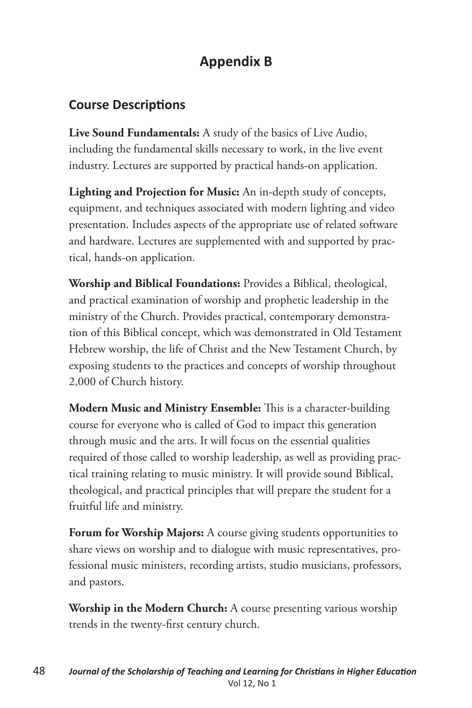## **Appendix B**

## **Course Descriptions**

**Live Sound Fundamentals:** A study of the basics of Live Audio, including the fundamental skills necessary to work, in the live event industry. Lectures are supported by practical hands-on application.

**Lighting and Projection for Music:** An in-depth study of concepts, equipment, and techniques associated with modern lighting and video presentation. Includes aspects of the appropriate use of related software and hardware. Lectures are supplemented with and supported by practical, hands-on application.

**Worship and Biblical Foundations:** Provides a Biblical, theological, and practical examination of worship and prophetic leadership in the ministry of the Church. Provides practical, contemporary demonstration of this Biblical concept, which was demonstrated in Old Testament Hebrew worship, the life of Christ and the New Testament Church, by exposing students to the practices and concepts of worship throughout 2,000 of Church history.

**Modern Music and Ministry Ensemble:** This is a character-building course for everyone who is called of God to impact this generation through music and the arts. It will focus on the essential qualities required of those called to worship leadership, as well as providing practical training relating to music ministry. It will provide sound Biblical, theological, and practical principles that will prepare the student for a fruitful life and ministry.

**Forum for Worship Majors:** A course giving students opportunities to share views on worship and to dialogue with music representatives, professional music ministers, recording artists, studio musicians, professors, and pastors.

**Worship in the Modern Church:** A course presenting various worship trends in the twenty-first century church.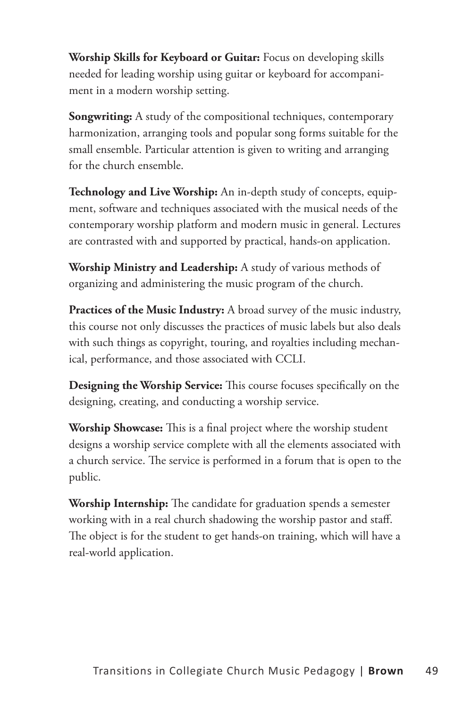**Worship Skills for Keyboard or Guitar:** Focus on developing skills needed for leading worship using guitar or keyboard for accompaniment in a modern worship setting.

**Songwriting:** A study of the compositional techniques, contemporary harmonization, arranging tools and popular song forms suitable for the small ensemble. Particular attention is given to writing and arranging for the church ensemble.

**Technology and Live Worship:** An in-depth study of concepts, equipment, software and techniques associated with the musical needs of the contemporary worship platform and modern music in general. Lectures are contrasted with and supported by practical, hands-on application.

**Worship Ministry and Leadership:** A study of various methods of organizing and administering the music program of the church.

**Practices of the Music Industry:** A broad survey of the music industry, this course not only discusses the practices of music labels but also deals with such things as copyright, touring, and royalties including mechanical, performance, and those associated with CCLI.

**Designing the Worship Service:** This course focuses specifically on the designing, creating, and conducting a worship service.

**Worship Showcase:** This is a final project where the worship student designs a worship service complete with all the elements associated with a church service. The service is performed in a forum that is open to the public.

**Worship Internship:** The candidate for graduation spends a semester working with in a real church shadowing the worship pastor and staff. The object is for the student to get hands-on training, which will have a real-world application.